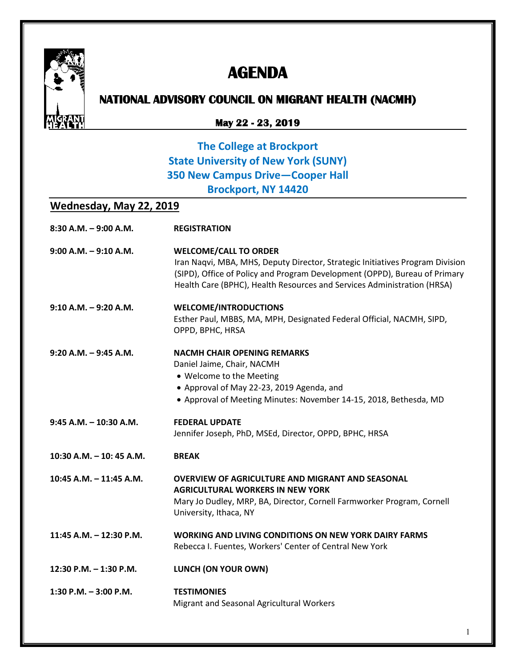

# **AGENDA**

## **NATIONAL ADVISORY COUNCIL ON MIGRANT HEALTH (NACMH)**

#### **May 22 - 23, 2019**

### **The College at Brockport State University of New York (SUNY) 350 New Campus Drive—Cooper Hall Brockport, NY 14420**

### **Wednesday, May 22, 2019**

| $8:30$ A.M. $-9:00$ A.M.   | <b>REGISTRATION</b>                                                                                                                                                                                                                                                    |
|----------------------------|------------------------------------------------------------------------------------------------------------------------------------------------------------------------------------------------------------------------------------------------------------------------|
| $9:00$ A.M. $-9:10$ A.M.   | <b>WELCOME/CALL TO ORDER</b><br>Iran Naqvi, MBA, MHS, Deputy Director, Strategic Initiatives Program Division<br>(SIPD), Office of Policy and Program Development (OPPD), Bureau of Primary<br>Health Care (BPHC), Health Resources and Services Administration (HRSA) |
| $9:10$ A.M. $-9:20$ A.M.   | <b>WELCOME/INTRODUCTIONS</b><br>Esther Paul, MBBS, MA, MPH, Designated Federal Official, NACMH, SIPD,<br>OPPD, BPHC, HRSA                                                                                                                                              |
| $9:20$ A.M. $-9:45$ A.M.   | <b>NACMH CHAIR OPENING REMARKS</b><br>Daniel Jaime, Chair, NACMH<br>• Welcome to the Meeting<br>• Approval of May 22-23, 2019 Agenda, and<br>• Approval of Meeting Minutes: November 14-15, 2018, Bethesda, MD                                                         |
| $9:45$ A.M. $-10:30$ A.M.  | <b>FEDERAL UPDATE</b><br>Jennifer Joseph, PhD, MSEd, Director, OPPD, BPHC, HRSA                                                                                                                                                                                        |
| $10:30$ A.M. $-10:45$ A.M. | <b>BREAK</b>                                                                                                                                                                                                                                                           |
| 10:45 A.M. - 11:45 A.M.    | <b>OVERVIEW OF AGRICULTURE AND MIGRANT AND SEASONAL</b><br><b>AGRICULTURAL WORKERS IN NEW YORK</b><br>Mary Jo Dudley, MRP, BA, Director, Cornell Farmworker Program, Cornell<br>University, Ithaca, NY                                                                 |
| 11:45 A.M. - 12:30 P.M.    | <b>WORKING AND LIVING CONDITIONS ON NEW YORK DAIRY FARMS</b><br>Rebecca I. Fuentes, Workers' Center of Central New York                                                                                                                                                |
| 12:30 P.M. - 1:30 P.M.     | LUNCH (ON YOUR OWN)                                                                                                                                                                                                                                                    |
| 1:30 P.M. $-$ 3:00 P.M.    | <b>TESTIMONIES</b><br>Migrant and Seasonal Agricultural Workers                                                                                                                                                                                                        |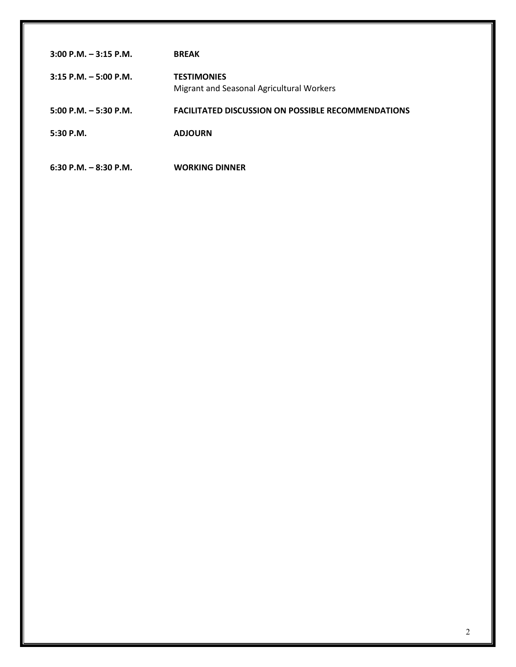| $3:00$ P.M. $-3:15$ P.M. | <b>BREAK</b>                                                    |
|--------------------------|-----------------------------------------------------------------|
| $3:15$ P.M. $-5:00$ P.M. | <b>TESTIMONIES</b><br>Migrant and Seasonal Agricultural Workers |
| $5:00$ P.M. $-5:30$ P.M. | <b>FACILITATED DISCUSSION ON POSSIBLE RECOMMENDATIONS</b>       |
| 5:30P.M.                 | <b>ADJOURN</b>                                                  |
| $6:30$ P.M. $-8:30$ P.M. | <b>WORKING DINNER</b>                                           |